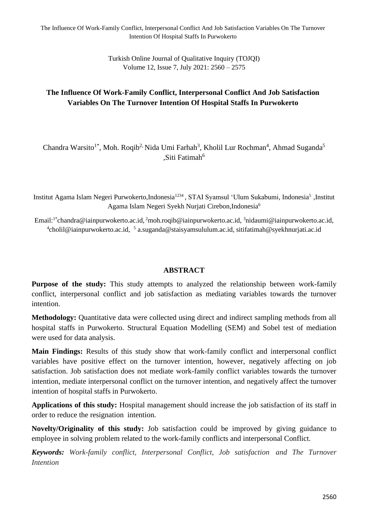Turkish Online Journal of Qualitative Inquiry (TOJQI) Volume 12, Issue 7, July 2021: 2560 – 2575

# **The Influence Of Work-Family Conflict, Interpersonal Conflict And Job Satisfaction Variables On The Turnover Intention Of Hospital Staffs In Purwokerto**

Chandra Warsito<sup>1\*</sup>, Moh. Roqib<sup>2,</sup> Nida Umi Farhah<sup>3</sup>, Kholil Lur Rochman<sup>4</sup>, Ahmad Suganda<sup>5</sup> ,Siti Fatimah<sup>6</sup>

Institut Agama Islam Negeri Purwokerto,Indonesia<sup>1234</sup>, STAI Syamsul 'Ulum Sukabumi, Indonesia<sup>5</sup>,Institut Agama Islam Negeri Syekh Nurjati Cirebon,Indonesia<sup>6</sup>

Email:<sup>1\*</sup>chandra@iainpurwokerto.ac.id,<sup>2</sup>moh.roqib@iainpurwokerto.ac.id,<sup>3</sup>nidaumi@iainpurwokerto.ac.id, <sup>4</sup>[cholil@iainpurwokerto.ac.id,](mailto:4cholil@iainpurwokerto.ac.id) <sup>5</sup> [a.suganda@staisyamsululum.ac.id,](mailto:a.suganda@staisyamsululum.ac.id) sitifatimah@syekhnurjati.ac.id

#### **ABSTRACT**

**Purpose of the study:** This study attempts to analyzed the relationship between work-family conflict, interpersonal conflict and job satisfaction as mediating variables towards the turnover intention.

**Methodology:** Quantitative data were collected using direct and indirect sampling methods from all hospital staffs in Purwokerto. Structural Equation Modelling (SEM) and Sobel test of mediation were used for data analysis.

**Main Findings:** Results of this study show that work-family conflict and interpersonal conflict variables have positive effect on the turnover intention, however, negatively affecting on job satisfaction. Job satisfaction does not mediate work-family conflict variables towards the turnover intention, mediate interpersonal conflict on the turnover intention, and negatively affect the turnover intention of hospital staffs in Purwokerto.

**Applications of this study:** Hospital management should increase the job satisfaction of its staff in order to reduce the resignation intention.

**Novelty/Originality of this study:** Job satisfaction could be improved by giving guidance to employee in solving problem related to the work-family conflicts and interpersonal Conflict.

*Keywords: Work-family conflict, Interpersonal Conflict, Job satisfaction and The Turnover Intention*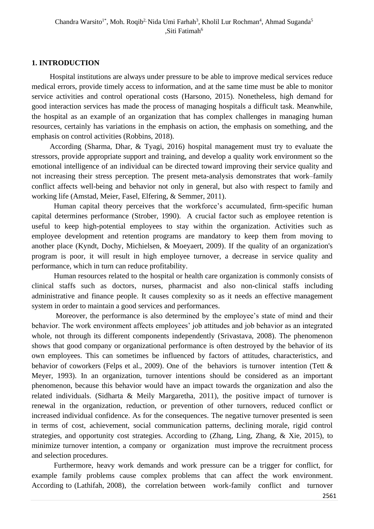#### **1. INTRODUCTION**

Hospital institutions are always under pressure to be able to improve medical services reduce medical errors, provide timely access to information, and at the same time must be able to monitor service activities and control operational costs (Harsono, 2015). Nonetheless, high demand for good interaction services has made the process of managing hospitals a difficult task. Meanwhile, the hospital as an example of an organization that has complex challenges in managing human resources, certainly has variations in the emphasis on action, the emphasis on something, and the emphasis on control activities (Robbins, 2018).

According (Sharma, Dhar, & Tyagi, 2016) hospital management must try to evaluate the stressors, provide appropriate support and training, and develop a quality work environment so the emotional intelligence of an individual can be directed toward improving their service quality and not increasing their stress perception. The present meta-analysis demonstrates that work–family conflict affects well-being and behavior not only in general, but also with respect to family and working life (Amstad, Meier, Fasel, Elfering, & Semmer, 2011).

Human capital theory perceives that the workforce's accumulated, firm-specific human capital determines performance (Strober, 1990). A crucial factor such as employee retention is useful to keep high-potential employees to stay within the organization. Activities such as employee development and retention programs are mandatory to keep them from moving to another place (Kyndt, Dochy, Michielsen, & Moeyaert, 2009). If the quality of an organization's program is poor, it will result in high employee turnover, a decrease in service quality and performance, which in turn can reduce profitability.

Human resources related to the hospital or health care organization is commonly consists of clinical staffs such as doctors, nurses, pharmacist and also non-clinical staffs including administrative and finance people. It causes complexity so as it needs an effective management system in order to maintain a good services and performances.

Moreover, the performance is also determined by the employee's state of mind and their behavior. The work environment affects employees' job attitudes and job behavior as an integrated whole, not through its different components independently (Srivastava, 2008). The phenomenon shows that good company or organizational performance is often destroyed by the behavior of its own employees. This can sometimes be influenced by factors of attitudes, characteristics, and behavior of coworkers (Felps et al., 2009). One of the behaviors is turnover intention (Tett & Meyer, 1993). In an organization, turnover intentions should be considered as an important phenomenon, because this behavior would have an impact towards the organization and also the related individuals. (Sidharta & Meily Margaretha, 2011), the positive impact of turnover is renewal in the organization, reduction, or prevention of other turnovers, reduced conflict or increased individual confidence. As for the consequences. The negative turnover presented is seen in terms of cost, achievement, social communication patterns, declining morale, rigid control strategies, and opportunity cost strategies. According to (Zhang, Ling, Zhang, & Xie, 2015), to minimize turnover intention, a company or organization must improve the recruitment process and selection procedures.

Furthermore, heavy work demands and work pressure can be a trigger for conflict, for example family problems cause complex problems that can affect the work environment. According to (Lathifah, 2008), the correlation between work-family conflict and turnover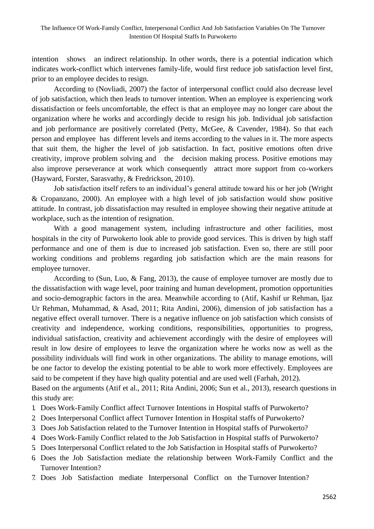intention shows an indirect relationship. In other words, there is a potential indication which indicates work-conflict which intervenes family-life, would first reduce job satisfaction level first, prior to an employee decides to resign.

According to (Novliadi, 2007) the factor of interpersonal conflict could also decrease level of job satisfaction, which then leads to turnover intention. When an employee is experiencing work dissatisfaction or feels uncomfortable, the effect is that an employee may no longer care about the organization where he works and accordingly decide to resign his job. Individual job satisfaction and job performance are positively correlated (Petty, McGee, & Cavender, 1984). So that each person and employee has different levels and items according to the values in it. The more aspects that suit them, the higher the level of job satisfaction. In fact, positive emotions often drive creativity, improve problem solving and the decision making process. Positive emotions may also improve perseverance at work which consequently attract more support from co-workers (Hayward, Forster, Sarasvathy, & Fredrickson, 2010).

Job satisfaction itself refers to an individual's general attitude toward his or her job (Wright & Cropanzano, 2000). An employee with a high level of job satisfaction would show positive attitude. In contrast, job dissatisfaction may resulted in employee showing their negative attitude at workplace, such as the intention of resignation.

With a good management system, including infrastructure and other facilities, most hospitals in the city of Purwokerto look able to provide good services. This is driven by high staff performance and one of them is due to increased job satisfaction. Even so, there are still poor working conditions and problems regarding job satisfaction which are the main reasons for employee turnover.

According to (Sun, Luo, & Fang, 2013), the cause of employee turnover are mostly due to the dissatisfaction with wage level, poor training and human development, promotion opportunities and socio-demographic factors in the area. Meanwhile according to (Atif, Kashif ur Rehman, Ijaz Ur Rehman, Muhammad, & Asad, 2011; Rita Andini, 2006), dimension of job satisfaction has a negative effect overall turnover. There is a negative influence on job satisfaction which consists of creativity and independence, working conditions, responsibilities, opportunities to progress, individual satisfaction, creativity and achievement accordingly with the desire of employees will result in low desire of employees to leave the organization where he works now as well as the possibility individuals will find work in other organizations. The ability to manage emotions, will be one factor to develop the existing potential to be able to work more effectively. Employees are said to be competent if they have high quality potential and are used well (Farhah, 2012). Based on the arguments (Atif et al., 2011; Rita Andini, 2006; Sun et al., 2013), research questions in

this study are:

- 1. Does Work-Family Conflict affect Turnover Intentions in Hospital staffs of Purwokerto?
- 2. Does Interpersonal Conflict affect Turnover Intention in Hospital staffs of Purwokerto?
- 3. Does Job Satisfaction related to the Turnover Intention in Hospital staffs of Purwokerto?
- 4. Does Work-Family Conflict related to the Job Satisfaction in Hospital staffs of Purwokerto?
- 5. Does Interpersonal Conflict related to the Job Satisfaction in Hospital staffs of Purwokerto?
- 6. Does the Job Satisfaction mediate the relationship between Work-Family Conflict and the Turnover Intention?
- 7. Does Job Satisfaction mediate Interpersonal Conflict on the Turnover Intention?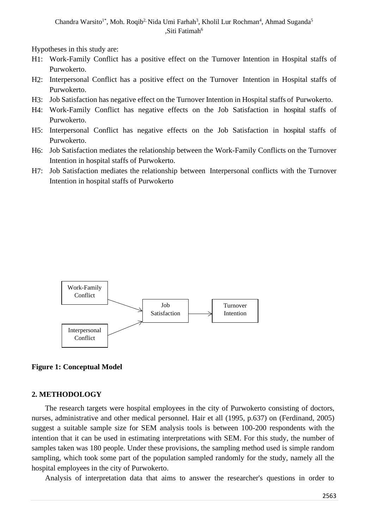Chandra Warsito<sup>1\*</sup>, Moh. Roqib<sup>2,</sup> Nida Umi Farhah<sup>3</sup>, Kholil Lur Rochman<sup>4</sup>, Ahmad Suganda<sup>5</sup> ,Siti Fatimah<sup>6</sup>

Hypotheses in this study are:

- H1: Work-Family Conflict has a positive effect on the Turnover Intention in Hospital staffs of Purwokerto.
- H2: Interpersonal Conflict has a positive effect on the Turnover Intention in Hospital staffs of Purwokerto.
- H3: Job Satisfaction has negative effect on the Turnover Intention in Hospital staffs of Purwokerto.
- H4: Work-Family Conflict has negative effects on the Job Satisfaction in hospital staffs of Purwokerto.
- H5: Interpersonal Conflict has negative effects on the Job Satisfaction in hospital staffs of Purwokerto.
- H6: Job Satisfaction mediates the relationship between the Work-Family Conflicts on the Turnover Intention in hospital staffs of Purwokerto.
- H7: Job Satisfaction mediates the relationship between Interpersonal conflicts with the Turnover Intention in hospital staffs of Purwokerto





#### **2. METHODOLOGY**

The research targets were hospital employees in the city of Purwokerto consisting of doctors, nurses, administrative and other medical personnel. Hair et all (1995, p.637) on (Ferdinand, 2005) suggest a suitable sample size for SEM analysis tools is between 100-200 respondents with the intention that it can be used in estimating interpretations with SEM. For this study, the number of samples taken was 180 people. Under these provisions, the sampling method used is simple random sampling, which took some part of the population sampled randomly for the study, namely all the hospital employees in the city of Purwokerto.

Analysis of interpretation data that aims to answer the researcher's questions in order to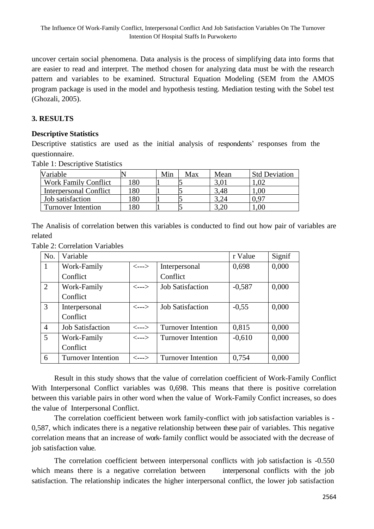uncover certain social phenomena. Data analysis is the process of simplifying data into forms that are easier to read and interpret. The method chosen for analyzing data must be with the research pattern and variables to be examined. Structural Equation Modeling (SEM from the AMOS program package is used in the model and hypothesis testing. Mediation testing with the Sobel test (Ghozali, 2005).

# **3. RESULTS**

#### **Descriptive Statistics**

Descriptive statistics are used as the initial analysis of respondents' responses from the questionnaire.

Table 1: Descriptive Statistics

| Variable                    |     | Min | Max | Mean          | <b>Std Deviation</b> |
|-----------------------------|-----|-----|-----|---------------|----------------------|
| <b>Work Family Conflict</b> | 180 |     |     | $3.0^{\circ}$ |                      |
| Interpersonal Conflict      | .80 |     |     | 3,48          | $1.00\,$             |
| <b>Job</b> satisfaction     | 80  |     |     |               | 0.97                 |
| <b>Turnover Intention</b>   | 80  |     |     |               | $00$ .               |

The Analisis of correlation betwen this variables is conducted to find out how pair of variables are related

| <b>Table 2: Correlation Variables</b> |  |
|---------------------------------------|--|
|                                       |  |

| No.            | Variable                  |                            |                           | r Value  | Signif |
|----------------|---------------------------|----------------------------|---------------------------|----------|--------|
| -1             | Work-Family               | $\leftarrow$ --->          | Interpersonal             | 0,698    | 0,000  |
|                | Conflict                  |                            | Conflict                  |          |        |
| 2              | Work-Family               | $\leftarrow$ -->           | <b>Job Satisfaction</b>   | $-0,587$ | 0,000  |
|                | Conflict                  |                            |                           |          |        |
| 3              | Interpersonal             | $\leftarrow$ $\rightarrow$ | <b>Job Satisfaction</b>   | $-0,55$  | 0,000  |
|                | Conflict                  |                            |                           |          |        |
| $\overline{4}$ | <b>Job Satisfaction</b>   | $\leftarrow$ -->           | <b>Turnover Intention</b> | 0,815    | 0,000  |
| $\mathfrak{S}$ | Work-Family               | $\leftarrow$ $\rightarrow$ | <b>Turnover Intention</b> | $-0,610$ | 0,000  |
|                | Conflict                  |                            |                           |          |        |
| 6              | <b>Turnover Intention</b> | $\leftarrow$ -->           | <b>Turnover Intention</b> | 0,754    | 0,000  |

Result in this study shows that the value of correlation coefficient of Work-Family Conflict With Interpersonal Conflict variables was 0,698. This means that there is positive correlation between this variable pairs in other word when the value of Work-Family Confict increases, so does the value of Interpersonal Conflict.

The correlation coefficient between work family-conflict with job satisfaction variables is - 0,587, which indicates there is a negative relationship between these pair of variables. This negative correlation means that an increase of work-family conflict would be associated with the decrease of job satisfaction value.

The correlation coefficient between interpersonal conflicts with job satisfaction is -0.550 which means there is a negative correlation between interpersonal conflicts with the job satisfaction. The relationship indicates the higher interpersonal conflict, the lower job satisfaction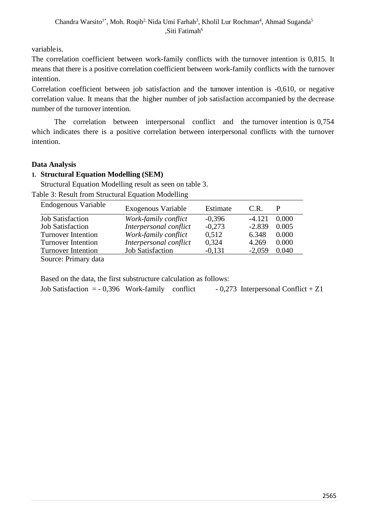variableis.

The correlation coefficient between work-family conflicts with the turnover intention is 0,815. It means that there is a positive correlation coefficient between work-family conflicts with the turnover intention.

Correlation coefficient between job satisfaction and the turnover intention is -0,610, or negative correlation value. It means that the higher number of job satisfaction accompanied by the decrease number of the turnover intention.

The correlation between interpersonal conflict and the turnover intention is 0,754 which indicates there is a positive correlation between interpersonal conflicts with the turnover intention.

# **Data Analysis**

# **1. Structural Equation Modelling (SEM)**

Structural Equation Modelling result as seen on table 3.

Table 3: Result from Structural Equation Modelling

| Endogenous Variable       | Exogenous Variable      | Estimate | C.R.     |       |
|---------------------------|-------------------------|----------|----------|-------|
| <b>Job Satisfaction</b>   | Work-family conflict    | $-0.396$ | $-4.121$ | 0.000 |
| <b>Job Satisfaction</b>   | Interpersonal conflict  | $-0.273$ | $-2.839$ | 0.005 |
| <b>Turnover Intention</b> | Work-family conflict    | 0,512    | 6.348    | 0.000 |
| <b>Turnover Intention</b> | Interpersonal conflict  | 0,324    | 4.269    | 0.000 |
| <b>Turnover Intention</b> | <b>Job Satisfaction</b> | $-0,131$ | $-2,059$ | 0.040 |
| Source: Primary data      |                         |          |          |       |

Source: Primary data

Based on the data, the first substructure calculation as follows:

| Job Satisfaction $=$ - 0,396 Work-family conflict |  | $-0,273$ Interpersonal Conflict + Z1 |  |
|---------------------------------------------------|--|--------------------------------------|--|
|                                                   |  |                                      |  |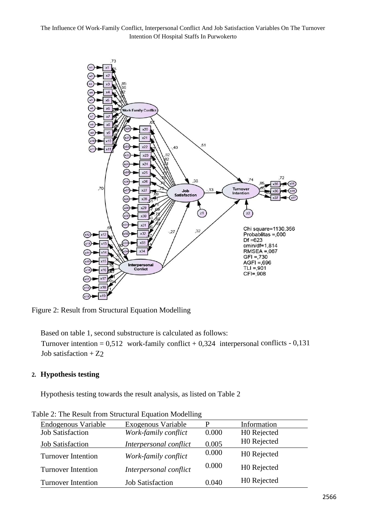

Figure 2: Result from Structural Equation Modelling

Based on table 1, second substructure is calculated as follows:

Turnover intention =  $0.512$  work-family conflict +  $0.324$  interpersonal conflicts -  $0.131$ Job satisfaction  $+ Z2$ 

#### **2. Hypothesis testing**

Hypothesis testing towards the result analysis, as listed on Table 2

| Endogenous Variable       | Exogenous Variable      |       | Information             |
|---------------------------|-------------------------|-------|-------------------------|
| <b>Job Satisfaction</b>   | Work-family conflict    | 0.000 | H0 Rejected             |
| <b>Job Satisfaction</b>   | Interpersonal conflict  | 0.005 | H0 Rejected             |
| <b>Turnover Intention</b> | Work-family conflict    | 0.000 | H0 Rejected             |
| <b>Turnover Intention</b> | Interpersonal conflict  | 0.000 | H0 Rejected             |
| <b>Turnover Intention</b> | <b>Job Satisfaction</b> | 0.040 | H <sub>0</sub> Rejected |

Table 2: The Result from Structural Equation Modelling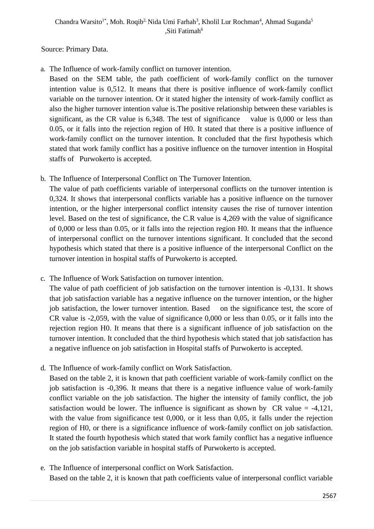Source: Primary Data.

a. The Influence of work-family conflict on turnover intention.

Based on the SEM table, the path coefficient of work-family conflict on the turnover intention value is 0,512. It means that there is positive influence of work-family conflict variable on the turnover intention. Or it stated higher the intensity of work-family conflict as also the higher turnover intention value is.The positive relationship between these variables is significant, as the CR value is 6,348. The test of significance value is 0,000 or less than 0.05, or it falls into the rejection region of H0. It stated that there is a positive influence of work-family conflict on the turnover intention. It concluded that the first hypothesis which stated that work family conflict has a positive influence on the turnover intention in Hospital staffs of Purwokerto is accepted.

b. The Influence of Interpersonal Conflict on The Turnover Intention.

The value of path coefficients variable of interpersonal conflicts on the turnover intention is 0,324. It shows that interpersonal conflicts variable has a positive influence on the turnover intention, or the higher interpersonal conflict intensity causes the rise of turnover intention level. Based on the test of significance, the C.R value is 4,269 with the value of significance of 0,000 or less than 0.05, or it falls into the rejection region H0. It means that the influence of interpersonal conflict on the turnover intentions significant. It concluded that the second hypothesis which stated that there is a positive influence of the interpersonal Conflict on the turnover intention in hospital staffs of Purwokerto is accepted.

c. The Influence of Work Satisfaction on turnover intention.

The value of path coefficient of job satisfaction on the turnover intention is -0,131. It shows that job satisfaction variable has a negative influence on the turnover intention, or the higher job satisfaction, the lower turnover intention. Based on the significance test, the score of CR value is -2,059, with the value of significance 0,000 or less than 0.05, or it falls into the rejection region H0. It means that there is a significant influence of job satisfaction on the turnover intention. It concluded that the third hypothesis which stated that job satisfaction has a negative influence on job satisfaction in Hospital staffs of Purwokerto is accepted.

d. The Influence of work-family conflict on Work Satisfaction.

Based on the table 2, it is known that path coefficient variable of work-family conflict on the job satisfaction is -0,396. It means that there is a negative influence value of work-family conflict variable on the job satisfaction. The higher the intensity of family conflict, the job satisfaction would be lower. The influence is significant as shown by  $CR$  value = -4,121, with the value from significance test 0,000, or it less than 0,05, it falls under the rejection region of H0, or there is a significance influence of work-family conflict on job satisfaction. It stated the fourth hypothesis which stated that work family conflict has a negative influence on the job satisfaction variable in hospital staffs of Purwokerto is accepted.

e. The Influence of interpersonal conflict on Work Satisfaction. Based on the table 2, it is known that path coefficients value of interpersonal conflict variable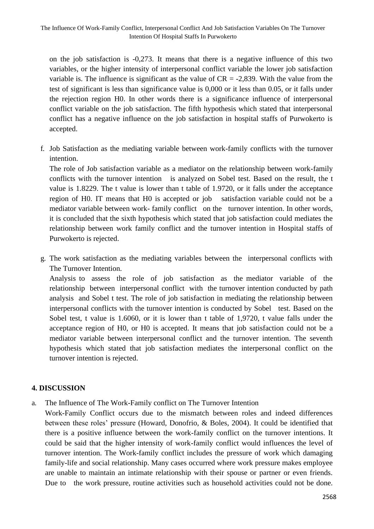on the job satisfaction is -0,273. It means that there is a negative influence of this two variables, or the higher intensity of interpersonal conflict variable the lower job satisfaction variable is. The influence is significant as the value of  $CR = -2,839$ . With the value from the test of significant is less than significance value is 0,000 or it less than 0.05, or it falls under the rejection region H0. In other words there is a significance influence of interpersonal conflict variable on the job satisfaction. The fifth hypothesis which stated that interpersonal conflict has a negative influence on the job satisfaction in hospital staffs of Purwokerto is accepted.

f. Job Satisfaction as the mediating variable between work-family conflicts with the turnover intention.

The role of Job satisfaction variable as a mediator on the relationship between work-family conflicts with the turnover intention is analyzed on Sobel test. Based on the result, the t value is 1.8229. The t value is lower than t table of 1.9720, or it falls under the acceptance region of H0. IT means that H0 is accepted or job satisfaction variable could not be a mediator variable between work- family conflict on the turnover intention. In other words, it is concluded that the sixth hypothesis which stated that job satisfaction could mediates the relationship between work family conflict and the turnover intention in Hospital staffs of Purwokerto is rejected.

g. The work satisfaction as the mediating variables between the interpersonal conflicts with The Turnover Intention.

Analysis to assess the role of job satisfaction as the mediator variable of the relationship between interpersonal conflict with the turnover intention conducted by path analysis and Sobel t test. The role of job satisfaction in mediating the relationship between interpersonal conflicts with the turnover intention is conducted by Sobel test. Based on the Sobel test, t value is 1.6060, or it is lower than t table of 1,9720, t value falls under the acceptance region of H0, or H0 is accepted. It means that job satisfaction could not be a mediator variable between interpersonal conflict and the turnover intention. The seventh hypothesis which stated that job satisfaction mediates the interpersonal conflict on the turnover intention is rejected.

# **4. DISCUSSION**

a. The Influence of The Work-Family conflict on The Turnover Intention

Work-Family Conflict occurs due to the mismatch between roles and indeed differences between these roles' pressure (Howard, Donofrio, & Boles, 2004). It could be identified that there is a positive influence between the work-family conflict on the turnover intentions. It could be said that the higher intensity of work-family conflict would influences the level of turnover intention. The Work-family conflict includes the pressure of work which damaging family-life and social relationship. Many cases occurred where work pressure makes employee are unable to maintain an intimate relationship with their spouse or partner or even friends. Due to the work pressure, routine activities such as household activities could not be done.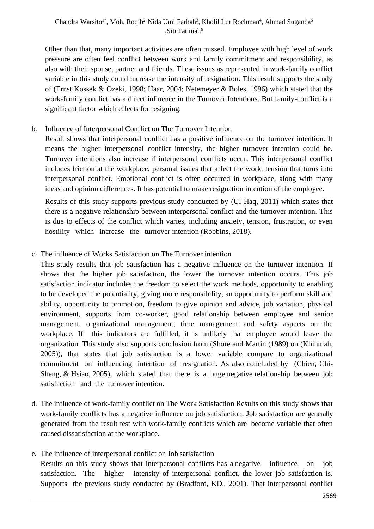### Chandra Warsito<sup>1\*</sup>, Moh. Roqib<sup>2,</sup> Nida Umi Farhah<sup>3</sup>, Kholil Lur Rochman<sup>4</sup>, Ahmad Suganda<sup>5</sup> ,Siti Fatimah<sup>6</sup>

Other than that, many important activities are often missed. Employee with high level of work pressure are often feel conflict between work and family commitment and responsibility, as also with their spouse, partner and friends. These issues as represented in work-family conflict variable in this study could increase the intensity of resignation. This result supports the study of (Ernst Kossek & Ozeki, 1998; Haar, 2004; Netemeyer & Boles, 1996) which stated that the work-family conflict has a direct influence in the Turnover Intentions. But family-conflict is a significant factor which effects for resigning.

## b. Influence of Interpersonal Conflict on The Turnover Intention

Result shows that interpersonal conflict has a positive influence on the turnover intention. It means the higher interpersonal conflict intensity, the higher turnover intention could be. Turnover intentions also increase if interpersonal conflicts occur. This interpersonal conflict includes friction at the workplace, personal issues that affect the work, tension that turns into interpersonal conflict. Emotional conflict is often occurred in workplace, along with many ideas and opinion differences. It has potential to make resignation intention of the employee.

Results of this study supports previous study conducted by (Ul Haq, 2011) which states that there is a negative relationship between interpersonal conflict and the turnover intention. This is due to effects of the conflict which varies, including anxiety, tension, frustration, or even hostility which increase the turnover intention (Robbins, 2018).

## c. The influence of Works Satisfaction on The Turnover intention

This study results that job satisfaction has a negative influence on the turnover intention. It shows that the higher job satisfaction, the lower the turnover intention occurs. This job satisfaction indicator includes the freedom to select the work methods, opportunity to enabling to be developed the potentiality, giving more responsibility, an opportunity to perform skill and ability, opportunity to promotion, freedom to give opinion and advice, job variation, physical environment, supports from co-worker, good relationship between employee and senior management, organizational management, time management and safety aspects on the workplace. If this indicators are fulfilled, it is unlikely that employee would leave the organization. This study also supports conclusion from (Shore and Martin (1989) on (Khihmah, 2005)), that states that job satisfaction is a lower variable compare to organizational commitment on influencing intention of resignation. As also concluded by (Chien, Chi-Sheng, & Hsiao, 2005), which stated that there is a huge negative relationship between job satisfaction and the turnover intention.

- d. The influence of work-family conflict on The Work Satisfaction Results on this study shows that work-family conflicts has a negative influence on job satisfaction. Job satisfaction are generally generated from the result test with work-family conflicts which are become variable that often caused dissatisfaction at the workplace.
- e. The influence of interpersonal conflict on Job satisfaction Results on this study shows that interpersonal conflicts has a negative influence on job satisfaction. The higher intensity of interpersonal conflict, the lower job satisfaction is. Supports the previous study conducted by (Bradford, KD., 2001). That interpersonal conflict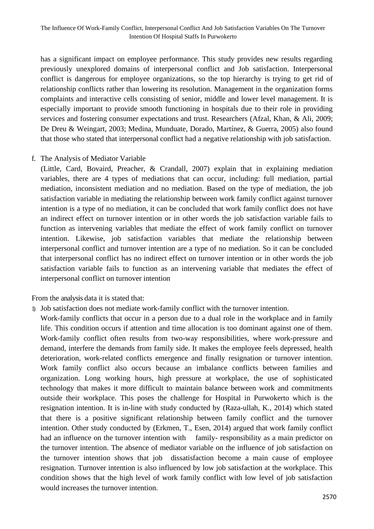has a significant impact on employee performance. This study provides new results regarding previously unexplored domains of interpersonal conflict and Job satisfaction. Interpersonal conflict is dangerous for employee organizations, so the top hierarchy is trying to get rid of relationship conflicts rather than lowering its resolution. Management in the organization forms complaints and interactive cells consisting of senior, middle and lower level management. It is especially important to provide smooth functioning in hospitals due to their role in providing services and fostering consumer expectations and trust. Researchers (Afzal, Khan, & Ali, 2009; De Dreu & Weingart, 2003; Medina, Munduate, Dorado, Martínez, & Guerra, 2005) also found that those who stated that interpersonal conflict had a negative relationship with job satisfaction.

#### f. The Analysis of Mediator Variable

(Little, Card, Bovaird, Preacher, & Crandall, 2007) explain that in explaining mediation variables, there are 4 types of mediations that can occur, including: full mediation, partial mediation, inconsistent mediation and no mediation. Based on the type of mediation, the job satisfaction variable in mediating the relationship between work family conflict against turnover intention is a type of no mediation, it can be concluded that work family conflict does not have an indirect effect on turnover intention or in other words the job satisfaction variable fails to function as intervening variables that mediate the effect of work family conflict on turnover intention. Likewise, job satisfaction variables that mediate the relationship between interpersonal conflict and turnover intention are a type of no mediation. So it can be concluded that interpersonal conflict has no indirect effect on turnover intention or in other words the job satisfaction variable fails to function as an intervening variable that mediates the effect of interpersonal conflict on turnover intention

From the analysis data it is stated that:

1) Job satisfaction does not mediate work-family conflict with the turnover intention.

Work-family conflicts that occur in a person due to a dual role in the workplace and in family life. This condition occurs if attention and time allocation is too dominant against one of them. Work-family conflict often results from two-way responsibilities, where work-pressure and demand, interfere the demands from family side. It makes the employee feels depressed, health deterioration, work-related conflicts emergence and finally resignation or turnover intention. Work family conflict also occurs because an imbalance conflicts between families and organization. Long working hours, high pressure at workplace, the use of sophisticated technology that makes it more difficult to maintain balance between work and commitments outside their workplace. This poses the challenge for Hospital in Purwokerto which is the resignation intention. It is in-line with study conducted by (Raza-ullah, K., 2014) which stated that there is a positive significant relationship between family conflict and the turnover intention. Other study conducted by (Erkmen, T., Esen, 2014) argued that work family conflict had an influence on the turnover intention with family- responsibility as a main predictor on the turnover intention. The absence of mediator variable on the influence of job satisfaction on the turnover intention shows that job dissatisfaction become a main cause of employee resignation. Turnover intention is also influenced by low job satisfaction at the workplace. This condition shows that the high level of work family conflict with low level of job satisfaction would increases the turnover intention.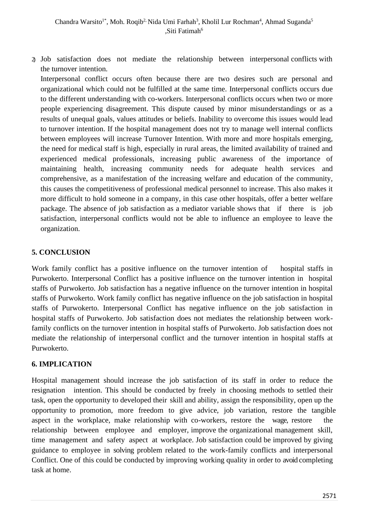2) Job satisfaction does not mediate the relationship between interpersonal conflicts with the turnover intention.

Interpersonal conflict occurs often because there are two desires such are personal and organizational which could not be fulfilled at the same time. Interpersonal conflicts occurs due to the different understanding with co-workers. Interpersonal conflicts occurs when two or more people experiencing disagreement. This dispute caused by minor misunderstandings or as a results of unequal goals, values attitudes or beliefs. Inability to overcome this issues would lead to turnover intention. If the hospital management does not try to manage well internal conflicts between employees will increase Turnover Intention. With more and more hospitals emerging, the need for medical staff is high, especially in rural areas, the limited availability of trained and experienced medical professionals, increasing public awareness of the importance of maintaining health, increasing community needs for adequate health services and comprehensive, as a manifestation of the increasing welfare and education of the community, this causes the competitiveness of professional medical personnel to increase. This also makes it more difficult to hold someone in a company, in this case other hospitals, offer a better welfare package. The absence of job satisfaction as a mediator variable shows that if there is job satisfaction, interpersonal conflicts would not be able to influence an employee to leave the organization.

# **5. CONCLUSION**

Work family conflict has a positive influence on the turnover intention of hospital staffs in Purwokerto. Interpersonal Conflict has a positive influence on the turnover intention in hospital staffs of Purwokerto. Job satisfaction has a negative influence on the turnover intention in hospital staffs of Purwokerto. Work family conflict has negative influence on the job satisfaction in hospital staffs of Purwokerto. Interpersonal Conflict has negative influence on the job satisfaction in hospital staffs of Purwokerto. Job satisfaction does not mediates the relationship between workfamily conflicts on the turnover intention in hospital staffs of Purwokerto. Job satisfaction does not mediate the relationship of interpersonal conflict and the turnover intention in hospital staffs at Purwokerto.

# **6. IMPLICATION**

Hospital management should increase the job satisfaction of its staff in order to reduce the resignation intention. This should be conducted by freely in choosing methods to settled their task, open the opportunity to developed their skill and ability, assign the responsibility, open up the opportunity to promotion, more freedom to give advice, job variation, restore the tangible aspect in the workplace, make relationship with co-workers, restore the wage, restore the relationship between employee and employer, improve the organizational management skill, time management and safety aspect at workplace. Job satisfaction could be improved by giving guidance to employee in solving problem related to the work-family conflicts and interpersonal Conflict. One of this could be conducted by improving working quality in order to avoid completing task at home.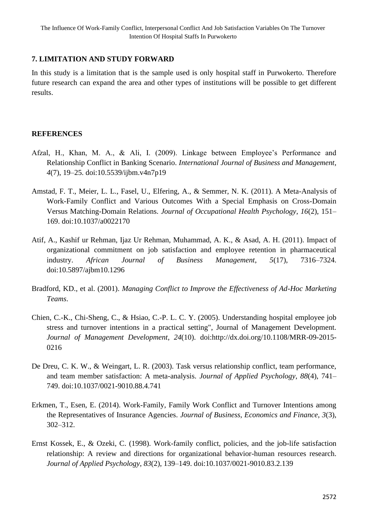### **7. LIMITATION AND STUDY FORWARD**

In this study is a limitation that is the sample used is only hospital staff in Purwokerto. Therefore future research can expand the area and other types of institutions will be possible to get different results.

# **REFERENCES**

- Afzal, H., Khan, M. A., & Ali, I. (2009). Linkage between Employee's Performance and Relationship Conflict in Banking Scenario. *International Journal of Business and Management*, *4*(7), 19–25. doi:10.5539/ijbm.v4n7p19
- Amstad, F. T., Meier, L. L., Fasel, U., Elfering, A., & Semmer, N. K. (2011). A Meta-Analysis of Work-Family Conflict and Various Outcomes With a Special Emphasis on Cross-Domain Versus Matching-Domain Relations. *Journal of Occupational Health Psychology*, *16*(2), 151– 169. doi:10.1037/a0022170
- Atif, A., Kashif ur Rehman, Ijaz Ur Rehman, Muhammad, A. K., & Asad, A. H. (2011). Impact of organizational commitment on job satisfaction and employee retention in pharmaceutical industry. *African Journal of Business Management*, *5*(17), 7316–7324. doi:10.5897/ajbm10.1296
- Bradford, KD., et al. (2001). *Managing Conflict to Improve the Effectiveness of Ad-Hoc Marketing Teams*.
- Chien, C.-K., Chi-Sheng, C., & Hsiao, C.-P. L. C. Y. (2005). Understanding hospital employee job stress and turnover intentions in a practical setting", Journal of Management Development. *Journal of Management Development*, *24*(10). doi:http://dx.doi.org/10.1108/MRR-09-2015- 0216
- De Dreu, C. K. W., & Weingart, L. R. (2003). Task versus relationship conflict, team performance, and team member satisfaction: A meta-analysis. *Journal of Applied Psychology*, *88*(4), 741– 749. doi:10.1037/0021-9010.88.4.741
- Erkmen, T., Esen, E. (2014). Work-Family, Family Work Conflict and Turnover Intentions among the Representatives of Insurance Agencies. *Journal of Business, Economics and Finance*, *3*(3), 302–312.
- Ernst Kossek, E., & Ozeki, C. (1998). Work-family conflict, policies, and the job-life satisfaction relationship: A review and directions for organizational behavior-human resources research. *Journal of Applied Psychology*, *83*(2), 139–149. doi:10.1037/0021-9010.83.2.139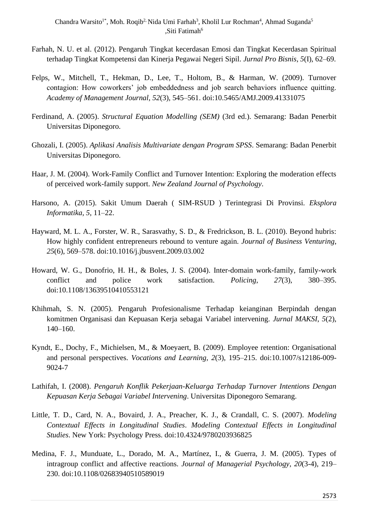- Farhah, N. U. et al. (2012). Pengaruh Tingkat kecerdasan Emosi dan Tingkat Kecerdasan Spiritual terhadap Tingkat Kompetensi dan Kinerja Pegawai Negeri Sipil. *Jurnal Pro Bisnis*, *5*(I), 62–69.
- Felps, W., Mitchell, T., Hekman, D., Lee, T., Holtom, B., & Harman, W. (2009). Turnover contagion: How coworkers' job embeddedness and job search behaviors influence quitting. *Academy of Management Journal*, *52*(3), 545–561. doi:10.5465/AMJ.2009.41331075
- Ferdinand, A. (2005). *Structural Equation Modelling (SEM)* (3rd ed.). Semarang: Badan Penerbit Universitas Diponegoro.
- Ghozali, I. (2005). *Aplikasi Analisis Multivariate dengan Program SPSS*. Semarang: Badan Penerbit Universitas Diponegoro.
- Haar, J. M. (2004). Work-Family Conflict and Turnover Intention: Exploring the moderation effects of perceived work-family support. *New Zealand Journal of Psychology*.
- Harsono, A. (2015). Sakit Umum Daerah ( SIM-RSUD ) Terintegrasi Di Provinsi. *Eksplora Informatika*, *5*, 11–22.
- Hayward, M. L. A., Forster, W. R., Sarasvathy, S. D., & Fredrickson, B. L. (2010). Beyond hubris: How highly confident entrepreneurs rebound to venture again. *Journal of Business Venturing*, *25*(6), 569–578. doi:10.1016/j.jbusvent.2009.03.002
- Howard, W. G., Donofrio, H. H., & Boles, J. S. (2004). Inter-domain work-family, family-work conflict and police work satisfaction. *Policing*, *27*(3), 380–395. doi:10.1108/13639510410553121
- Khihmah, S. N. (2005). Pengaruh Profesionalisme Terhadap keianginan Berpindah dengan komitmen Organisasi dan Kepuasan Kerja sebagai Variabel intervening. *Jurnal MAKSI*, *5*(2), 140–160.
- Kyndt, E., Dochy, F., Michielsen, M., & Moeyaert, B. (2009). Employee retention: Organisational and personal perspectives. *Vocations and Learning*, *2*(3), 195–215. doi:10.1007/s12186-009- 9024-7
- Lathifah, I. (2008). *Pengaruh Konflik Pekerjaan-Keluarga Terhadap Turnover Intentions Dengan Kepuasan Kerja Sebagai Variabel Intervening*. Universitas Diponegoro Semarang.
- Little, T. D., Card, N. A., Bovaird, J. A., Preacher, K. J., & Crandall, C. S. (2007). *Modeling Contextual Effects in Longitudinal Studies*. *Modeling Contextual Effects in Longitudinal Studies*. New York: Psychology Press. doi:10.4324/9780203936825
- Medina, F. J., Munduate, L., Dorado, M. A., Martínez, I., & Guerra, J. M. (2005). Types of intragroup conflict and affective reactions. *Journal of Managerial Psychology*, *20*(3-4), 219– 230. doi:10.1108/02683940510589019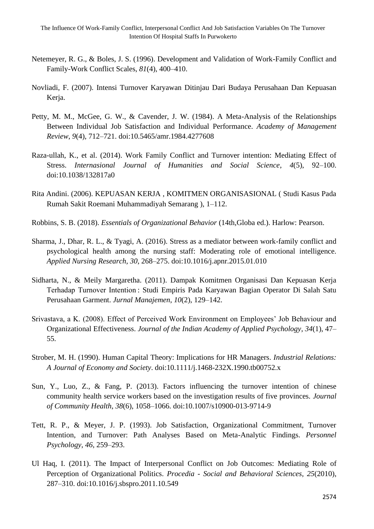- Netemeyer, R. G., & Boles, J. S. (1996). Development and Validation of Work-Family Conflict and Family-Work Conflict Scales, *81*(4), 400–410.
- Novliadi, F. (2007). Intensi Turnover Karyawan Ditinjau Dari Budaya Perusahaan Dan Kepuasan Kerja.
- Petty, M. M., McGee, G. W., & Cavender, J. W. (1984). A Meta-Analysis of the Relationships Between Individual Job Satisfaction and Individual Performance. *Academy of Management Review*, *9*(4), 712–721. doi:10.5465/amr.1984.4277608
- Raza-ullah, K., et al. (2014). Work Family Conflict and Turnover intention: Mediating Effect of Stress. *Internasional Journal of Humanities and Social Science*, *4*(5), 92–100. doi:10.1038/132817a0
- Rita Andini. (2006). KEPUASAN KERJA , KOMITMEN ORGANISASIONAL ( Studi Kasus Pada Rumah Sakit Roemani Muhammadiyah Semarang ), 1–112.
- Robbins, S. B. (2018). *Essentials of Organizational Behavior* (14th,Globa ed.). Harlow: Pearson.
- Sharma, J., Dhar, R. L., & Tyagi, A. (2016). Stress as a mediator between work-family conflict and psychological health among the nursing staff: Moderating role of emotional intelligence. *Applied Nursing Research*, *30*, 268–275. doi:10.1016/j.apnr.2015.01.010
- Sidharta, N., & Meily Margaretha. (2011). Dampak Komitmen Organisasi Dan Kepuasan Kerja Terhadap Turnover Intention : Studi Empiris Pada Karyawan Bagian Operator Di Salah Satu Perusahaan Garment. *Jurnal Manajemen*, *10*(2), 129–142.
- Srivastava, a K. (2008). Effect of Perceived Work Environment on Employees' Job Behaviour and Organizational Effectiveness. *Journal of the Indian Academy of Applied Psychology*, *34*(1), 47– 55.
- Strober, M. H. (1990). Human Capital Theory: Implications for HR Managers. *Industrial Relations: A Journal of Economy and Society*. doi:10.1111/j.1468-232X.1990.tb00752.x
- Sun, Y., Luo, Z., & Fang, P. (2013). Factors influencing the turnover intention of chinese community health service workers based on the investigation results of five provinces. *Journal of Community Health*, *38*(6), 1058–1066. doi:10.1007/s10900-013-9714-9
- Tett, R. P., & Meyer, J. P. (1993). Job Satisfaction, Organizational Commitment, Turnover Intention, and Turnover: Path Analyses Based on Meta-Analytic Findings. *Personnel Psychology*, *46*, 259–293.
- Ul Haq, I. (2011). The Impact of Interpersonal Conflict on Job Outcomes: Mediating Role of Perception of Organizational Politics. *Procedia - Social and Behavioral Sciences*, *25*(2010), 287–310. doi:10.1016/j.sbspro.2011.10.549